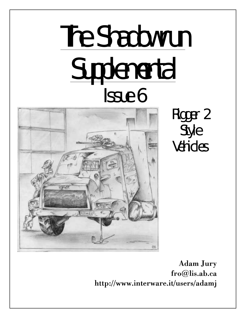# The Shadowrun **Supplemental** Issue 6



Rigger 2 Style Vehicles

Adam Jury fro@lis.ab.ca http://www.interware.it/users/adamj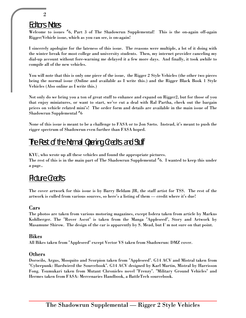# Editors Notes

2

Welcome to issues # 6, Part 3 of The Shadowrun Supplemental! This is the on-again off-again Rigger/Vehicle issue, which as you can see, is on-again!

I sincerely apologize for the lateness of this issue. The reasons were multiple, a lot of it doing with the winter break for most college and university students. Then, my internet provider canceling my dial-up account without fore-warning me delayed it a few more days. And finally, it took awhile to compile all of the new vehicles.

You will note that this is only one piece of the issue, the Rigger 2 Style Vehicles (the other two pieces being the normal issue (Online and available as I write this.) and the Rigger Black Book 1 Style Vehicles (Also online as I write this.)

Not only do we bring you a ton of great stuff to enhance and expand on Rigger2, but for those of you that enjoy miniatures, or want to start, we've cut a deal with Ral Partha, check out the bargain prices on vehicle related mini's! The order form and details are available in the main issue of The Shadowrun Supplemental  $^{\#}6$ 

None of this issue is meant to be a challenge to FASA or to Jon Szeto. Instead, it's meant to push the rigger spectrum of Shadowrun even further than FASA hoped.

# The Rest of the Normal Opening Credits and Stuff

KYU, who wrote up all these vehicles and found the appropriate pictures. The rest of this is in the main part of The Shadowrun Supplemental  $^{\#}$ 6. I wanted to keep this under a page..

# Picture Credits

The cover artwork for this issue is by Barry Beldam JR, the staff artist for TSS. The rest of the artwork is culled from various sources, so here's a listing of them — credit where it's due!

#### Cars

The photos are taken from various motoring magazines, except Isdera taken from article by Markus Kohlberger. The "Rover Ascot" is taken from the Manga "Appleseed", Story and Artwork by Masamune Shirow. The design of the car is apparently by S. Mead, but I`m not sure on that point.

#### Bikes

All Bikes taken from "Appleseed" except Vector VS taken from Shadowrun: DMZ cover.

#### **Others**

Dorocilo, Argus, Mosquito and Scorpion taken from "Appleseed". G14 ACV and Mistral taken from "Cyberpunk: Hardwired the Sourcebook". G14 ACV designed by Karl Martin, Mistral by Harrisson Fong. Tsumukari taken from Mutant Chronicles novel "Frenzy". "Military Ground Vehicles" and Hermes taken from FASA: Mercenaries Handbook, a BattleTech sourcebook.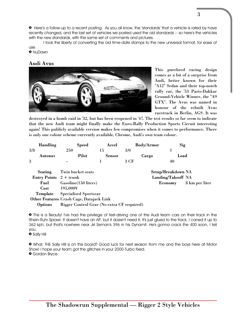» Here's a follow-up to a recent posting. As you all know, the 'standards' that a vehicle is rated by have recently changed, and the last set of vehicles we posted used the old standards -- so here's the vehicles with the new standards, with the same set of comments and pictures.

I took the liberty of converting the old time-date stamps to the new universal format, for ease of use.

» NuDawn

#### Audi Avus



This purebred racing design comes as a bit of a surprise from Audi, better known for their "A12" Sedan and their top-notch rally car, the '53 Paris-Dakkar Ground-Vehicle Winner, the "A9 GTX". The Avus was named in honour of the rebuilt Avus racetrack in Berlin, AGS. It was

destroyed in a bomb raid in '32, but has been reopened in '47. The test results so far seem to indicate that the new Audi team might finally make the Euro-Rally Production Sports Circuit interesting again! This publicly available version makes few compromises when it comes to performance. There is only one colour scheme currently available, Chrome, Audi's own team colour.

|     | <b>Handling</b> | Speed  | Accel  | <b>Body/Armor</b> | <b>Sig</b> |
|-----|-----------------|--------|--------|-------------------|------------|
| 3/8 |                 | 250    | ה ו    | 3/0               |            |
|     | Autonav         | Pilot  | Sensor | Cargo             | Load       |
| 3   |                 | $\sim$ |        | 3 CF              | 40         |

|                                        | <b>Seating</b> Twin bucket seats           | Setup/Breakdown NA |                               |
|----------------------------------------|--------------------------------------------|--------------------|-------------------------------|
| <b>Entry Points</b> $2 + \text{trunk}$ |                                            | Landing/Takeoff NA |                               |
|                                        | Fuel Gasoline (150 liters)                 |                    | <b>Economy</b> 8 km per liter |
| Cost                                   | $195.000\text{Y}$                          |                    |                               |
| Template                               | <b>Specialised Sportscar</b>               |                    |                               |
|                                        | Other Features Crash Cage, Datajack Link   |                    |                               |
| <b>Options</b>                         | Rigger Control Gear (No extra CF required) |                    |                               |

» This is a Beauty! I've had the privilege of test-driving one of the Audi team cars on their track in the Rhein-Ruhr Sprawl. It doesn't have an AP, but it doesn't need it; It's just glued to the track. I caned it up to 362 kph, but that's nowhere near Jiri Seman's 396 in his Dynamit. He's gonna crack the 400 soon, I tell you.

» Sally Hill

» What, THE Sally Hill is on this board? Good luck for next season from me and the boys here at Motor Show! I hope your team got the glitches in your 2000-Turbo fixed. » Gordon Bryce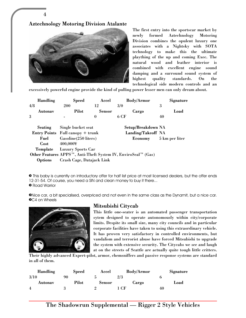Aztechnology Motoring Division Atalante

4



The first entry into the sportscar market by newly formed Aztechnology Motoring Division combines the opulent luxury one associates with a Nightsky with SOTA technology to make this the ultimate plaything of the up and coming Exec. The natural wood and leather interior is combined with excellent engine sound damping and a surround sound system of highest quality standards. On the technological side modern controls and an

excessively powerful engine provide the kind of pulling power lesser men can only dream about.

|     | <b>Handling</b> | <b>Speed</b>                                                               | Accel         |      | <b>Body/Armor</b>  | Signature      |
|-----|-----------------|----------------------------------------------------------------------------|---------------|------|--------------------|----------------|
| 4/8 |                 | <b>200</b>                                                                 | 12            | 3/0  |                    | 3              |
|     | Autonav         | <b>Pilot</b>                                                               | <b>Sensor</b> |      | Cargo              | Load           |
| 3   |                 |                                                                            | $\mathbf{0}$  | 6 CF |                    | 40             |
|     | Seating         | Single bucket seat                                                         |               |      | Setup/Breakdown NA |                |
|     |                 | <b>Entry Points</b> Full canopy + trunk                                    |               |      | Landing/Takeoff NA |                |
|     | Fuel            | Gasoline(250 liters)                                                       |               |      | Economy            | 5 km per liter |
|     | Cost            | $400,000$ ¥                                                                |               |      |                    |                |
|     | Template        | <b>Luxury Sports Car</b>                                                   |               |      |                    |                |
|     |                 | Other Features APPS <sup>™</sup> , Anti-Theft System IV, EnviroSeal™ (Gas) |               |      |                    |                |
|     | <b>Options</b>  | Crash Cage, Datajack Link                                                  |               |      |                    |                |

» This baby is currently on introductory offer for half list price at most licensed dealers, but the offer ends 12-31-54. Of course, you need a SIN and clean money to buy it there... » Road Warrior

»Nice car, a bit specialised, overpriced and not even in the same class as the Dynamit, but a nice car. **OC4 on Wheels** 



# Mitsubishi Citycab

This little one-seater is an automated passenger transportation sytem designed to operate autonomously within city/corporate limits. Despite its small size, many city councils and in particular corporate facilities have taken to using this extraordinary vehicle. It has proven very satisfactory in controlled environments, but vandalism and terrorist abuse have forced Mitsubishi to upgrade the system with extensive security. The Citycabs we see and laugh at on the streets of Seattle are actually quite tough little critters.

Their highly advanced Expert-pilot, armor, chemsniffers and passive response systems are standard in all of them.

| <b>Handling</b> | <b>Speed</b> | Accel  | <b>Body/Armor</b> |    | Signature |
|-----------------|--------------|--------|-------------------|----|-----------|
| 3/10            |              |        | 2/3               |    |           |
| Autonav         | Pilot        | Sensor | Cargo             |    | Load      |
| 4               |              |        | CE                | 40 |           |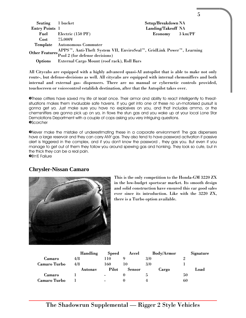| Seating 1 bucket             |                                                                      | Setup/Breakdown NA |  |  |  |  |
|------------------------------|----------------------------------------------------------------------|--------------------|--|--|--|--|
| <b>Entry Points</b> 1        |                                                                      | Landing/Takeoff NA |  |  |  |  |
|                              | Fuel Electric (150 PF)                                               | Economy 3 km/PF    |  |  |  |  |
| $Cost$ 75.000 $\overline{Y}$ |                                                                      |                    |  |  |  |  |
|                              | Template Autonomous Commuter                                         |                    |  |  |  |  |
|                              | APPS™, Anti-Theft System VII, EnviroSeal™, GridLink Power™, Learning |                    |  |  |  |  |
|                              | Other Features Pool 2 (for defense decisions)                        |                    |  |  |  |  |
| <b>Options</b>               | External Cargo Mount (roof rack), Roll Bars                          |                    |  |  |  |  |

All Citycabs are equipped with a highly advanced quasi-AI autopilot that is able to make not only route-, but defense-decisions as well. All citycabs are equipped with internal chemsniffers and both internal and external gas- dispensers. There are no manual or cybernetic controls provided, touchscreen or voicecontrol establish destination, after that the Autopilot takes over.

»These critters have saved my life at least once. Their armor and ability to react intelligently to threatsituations makes them invaluable safe havens. If you get into one of these no un-motorised pursuit is gonna get ya. Just make sure you have no explosives on you, and that includes ammo, or the chemsniffers are gonna pick up on ya, in flows the stun gas and you wake up at your local Lone Star Demolotions Department with a couple of cops asking you very intriguing questions. **OScorcher** 

»Never make the mistake of underestimating these in a corporate environment! The gas dispensers have a large reservoir and they can carry ANY gas. They also tend to have password activation if passive alert is triggered in the complex, and if you don't know the password , they gas you. But even if you manage to get out of them they follow you around spewing gas and honking. They look so cute, but in the thick they can be a real pain.

»B'n'E Failure

# **Chrysler-Nissan Camaro**



This is the only competition to the Honda-GM 3220 ZX in the low-budget sportscar market. Its smooth design and solid construction have ensured this car good sales ever since its introduction. Like with the 3220 ZX, there is a Turbo option available.

5

|                     | Handling | <b>Speed</b>   | Accel         | <b>Body/Armor</b> | Signature |
|---------------------|----------|----------------|---------------|-------------------|-----------|
| Camaro              | 4/8      |                |               | 3/0               |           |
| <b>Camaro Turbo</b> | 4/8      | 160            |               | 3/0               |           |
|                     | Autonav  | Pilot          | <b>Sensor</b> | Cargo             | Load      |
| Camaro              |          | $\blacksquare$ |               |                   | 50        |
| Camaro Turbo        |          |                |               |                   | 60        |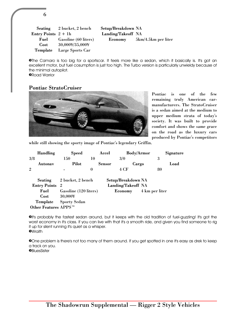|                       | Seating 2 bucket, 2 bench | Setup/Breakdown NA |                     |
|-----------------------|---------------------------|--------------------|---------------------|
| Entry Points $2 + 1h$ |                           | Landing/Takeoff NA |                     |
| Fuel                  | Gasoline (60 liters)      | Economy            | 5km/4.5km per liter |
| Cost                  | 30,000¥/35,000¥           |                    |                     |
| Template              | Large Sports Car          |                    |                     |

»The Camaro is too big for a sportscar. It feels more like a sedan, which it basically is. It's got an excellent motor, but fuel cosumption is just too high. The Turbo version is particularly unwieldy because of the minimal autopilot.

»Road Warrior

6

#### Pontiac StratoCruiser



Pontiac is one of the few remaining truly American carmanufacturers. The StratoCruiser is a sedan aimed at the medium to upper medium strata of today's society. It was built to provide comfort and shows the same grace on the road as the luxury cars produced by Pontiac's competitors

while still showing the sporty image of Pontiac's legendary Griffin.

| <b>Handling</b>     | <b>Speed</b>              |        | Accel         |                    | <b>Body/Armor</b> |                | Signature |
|---------------------|---------------------------|--------|---------------|--------------------|-------------------|----------------|-----------|
| 3/8                 | 150                       | 10     |               | 3/0                |                   | 3              |           |
| Autonav             | <b>Pilot</b>              |        | <b>Sensor</b> |                    | Cargo             |                | Load      |
| $\overline{2}$      | $\blacksquare$            | $_{0}$ |               | 4 CF               |                   | 80             |           |
| Seating             | 2 bucket, 2 bench         |        |               | Setup/Breakdown NA |                   |                |           |
| <b>Entry Points</b> | $\overline{\phantom{a}2}$ |        |               | Landing/Takeoff NA |                   |                |           |
| Fuel                | Gasoline (120 liters)     |        |               | Economy            |                   | 4 km per liter |           |

Template Sporty Sedan Other Features APPS™

Cost 30,000¥

»It's probably the fastest sedan around, but it keeps with the old tradition of fuel-guzzling! It's got the worst economy in it's class. If you can live with that it's a smooth ride, and given you find someone to rig it up for silent running it's quiet as a whisper. *OWraith* 

»One problem is there's not too many of them around. If you get spotted in one it's easy as drek to keep a track on you. **OBILIesSister**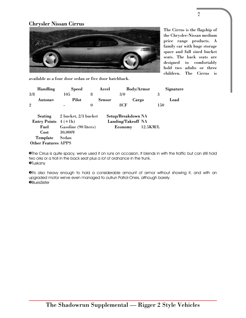# Chrysler Nissan Cirrus



The Cirrus is the flagship of the Chrysler-Nissan medium price range products. A family car with huge storage space and full sized bucket seats. The back seats are designed to comfortably hold two adults or three children. The Cirrus is

7

available as a four door sedan or five door hatchback.

| Handling                   | <b>Speed</b>         |          | Accel              | <b>Body/Armor</b> | Signature |
|----------------------------|----------------------|----------|--------------------|-------------------|-----------|
| 3/8                        | 105                  | 8        | 3/0                |                   | 3         |
| Autonav                    | Pilot                |          | <b>Sensor</b>      | Cargo             | Load      |
| $\overline{2}$             | ۰                    | $\bf{0}$ | 8CF                |                   | 150       |
|                            |                      |          |                    |                   |           |
| Seating                    | 2 bucket, 2/3 bucket |          | Setup/Breakdown NA |                   |           |
| Entry Points $4 (+1h)$     |                      |          | Landing/Takeoff NA |                   |           |
| Fuel                       | Gasoline (90 liters) |          | Economy            | 12.5KM/L          |           |
| Cost                       | 30,000¥              |          |                    |                   |           |
| Template                   | Sedan                |          |                    |                   |           |
| <b>Other Features APPS</b> |                      |          |                    |                   |           |

»The Cirrus is quite spacy, we've used it on runs on occasion. It blends in with the traffic but can still hold two orks or a troll in the back seat plus a *lot* of ordnance in the trunk. »Tuskany

»It's also heavy enough to hold a considerable amount of armor without showing it, and with an upgraded motor we've even managed to outrun Patrol-Ones, although barely. *OBluesSister*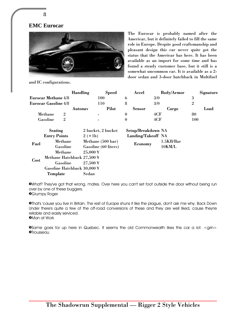

and IC configurations.

8

**EMC Eurocar**

The Eurocar is probably named after the Americar, but it definitely failed to fill the same role in Europe. Despite good craftsmanship and pleasant design this car never quite got the status that the Americar has here. It has been available as an import for some time and has found a steady customer base, but it still is a somewhat uncommon car. It is available as a 2 door sedan and 3-door hatchback in Multifuel

|                             |   | <b>Handling</b>    | <b>Speed</b>             | Accel              | <b>Body/Armor</b> | Signature      |
|-----------------------------|---|--------------------|--------------------------|--------------------|-------------------|----------------|
| <b>Eurocar Methane 4/8</b>  |   |                    | 100                      | 6                  | 3/0               | 3              |
| <b>Eurocar Gasoline 4/8</b> |   |                    | 110                      | 8                  | 3/0               | $\overline{2}$ |
|                             |   | Autonav            | Pilot                    | <b>Sensor</b>      | Cargo             | Load           |
| Methane                     | 2 |                    | ۰                        | $\boldsymbol{0}$   | 4CF               | 80             |
| Gasoline                    | 2 |                    | $\overline{\phantom{0}}$ | $\bf{0}$           | 4CF               | 100            |
| <b>Seating</b>              |   | 2 bucket, 2 bucket |                          | Setup/Breakdown NA |                   |                |
| <b>Entry Points</b>         |   | $2 (+1h)$          |                          | Landing/Takeoff NA |                   |                |

|      | <b>Entry Points</b>         | $2 (+1h)$                          | Landing/Takeoff NA |           |
|------|-----------------------------|------------------------------------|--------------------|-----------|
| Fuel | Methane                     | Methane (500 bar)                  |                    | 1.5KB/Bar |
|      | Gasoline                    | Gasoline (60 liters)               | Economy            | 10KM/L    |
|      | Methane                     | $25,000 \frac{\text{V}}{\text{F}}$ |                    |           |
| Cost | Methane Hatchback 27,500 ¥  |                                    |                    |           |
|      | Gasoline                    | $27,500 \,\text{Y}$                |                    |           |
|      | Gasoline Hatchback 30,000 ¥ |                                    |                    |           |
|      | Template                    | Sedan                              |                    |           |

| Setup/Breakdown NA |           |
|--------------------|-----------|
| Landing/Takeoff NA |           |
|                    | 1.5KB/Bar |
| Economy            | 10KM/L    |

»What? They've got that wrong, mates. Over here you can't set foot outside the door without being run over by one of these buggers. **O**Grumpy Roger

»That's 'cause you live in Britain. The rest of Europe shuns it like the plague, don't ask me why. Back Down Under there's quite a few of the off-road conversions of these and they are well liked, cause they're reliable and easily serviced. **•Man at Work** 

**OSame goes for up here in Quebec. It seems the old Commonwealth likes this car a lot.** <grin> **<sup>O</sup>Trousseau**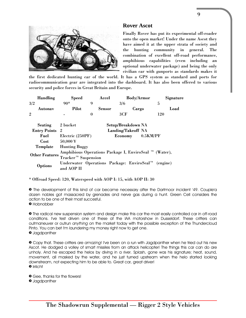

#### **Rover Ascot**

Finally Rover has put its experimental off-roader onto the open market! Under the name Ascot they have aimed it at the upper strata of society and the hunting community in general. The combination of excellent off-road performance, amphibious capabilities (even including an optional underwater package) and being the only civilian car with gunports as standards makes it

the first dedicated hunting car of the world. It has a GPS system as standard and ports for radiocommunication gear are integrated into the dashboard. It has also been offered to various security and police forces in Great Britain and Europe.

| <b>Handling</b>       | <b>Speed</b>                                                    | Accel            | <b>Body/Armor</b>   | Signature |  |  |
|-----------------------|-----------------------------------------------------------------|------------------|---------------------|-----------|--|--|
| 3/2                   | $90*$                                                           | 9                | 3/6                 | 5         |  |  |
| Autonav               | Pilot                                                           | <b>Sensor</b>    | Cargo               | Load      |  |  |
| $\overline{2}$        |                                                                 | $\boldsymbol{0}$ | 3CF                 | 120       |  |  |
|                       |                                                                 |                  |                     |           |  |  |
| <b>Seating</b>        | 2 bucket                                                        |                  | Setup/Breakdown NA  |           |  |  |
| <b>Entry Points</b>   | $\overline{2}$                                                  |                  | Landing/Takeoff NA  |           |  |  |
| Fuel                  | Electric (250PF)                                                |                  | 0.5KM/PF<br>Economy |           |  |  |
| Cost                  | $50,000 \frac{\text{Y}}{\text{F}}$                              |                  |                     |           |  |  |
| Template              | <b>Hunting Buggy</b>                                            |                  |                     |           |  |  |
| <b>Other Features</b> | Amphibious Operations Package I, EnviroSeal ™ (Water),          |                  |                     |           |  |  |
|                       | Tracker <sup>™</sup> Suspension                                 |                  |                     |           |  |  |
|                       | Underwater Operations Package: EnviroSeal <sup>™</sup> (engine) |                  |                     |           |  |  |
| Options               | and AOP II                                                      |                  |                     |           |  |  |

\* Offroad Speed: 120, Waterspeed with AOP I: 15, with AOP II: 30

» The development of this kind of car became necessary after the Dartmoor incident '49. Couple'a dozen nobles got massacred by grenades and nerve gas during a hunt. Green Cell considers the action to be one of their most succesful.

» Hobnobber

» The radical new suspension system and design make this car the most easily controlled car in off-road conditions. I've test driven one of these at the IAA motorshow in Dusseldorf. These critters can outmaneuver or outrun *anything* on the market today with the possible exception of the Thundercloud Pinto. You can bet I'm laundering my money right now to get one. » Jagdpanther

» Copy that. These critters are *amazing*! I've been on a run with Jagdpanther when he tried out his new Ascot. He dodged a volley of smart missiles from an attack helicopter! The things this car can do are unholy. And he escaped the helos by diving in a river. Splash, gone was his signature; heat, sound, movement, all masked by the water, and he just turned upstream when the helo started looking downstream, not expecting him to be able to. Great car, great driver! » Irrlicht

» Gee, thanks for the flowers!

» Jagdpanther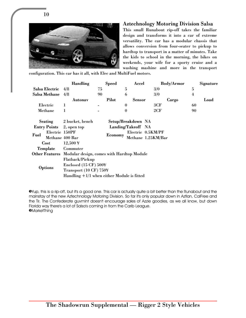

10

#### Aztechnology Motoring Division Salsa

This small Runabout rip-off takes the familiar design and transforms it into a car of extreme versatility. The car has a modular chassis that allows conversion from four-seater to pickup to hardtop to transport in a matter of minutes. Take the kids to school in the morning, the bikes on weekends, your wife for a sporty cruise and a washing mashine and more in the transport

configuration. This car has it all, with Elec and MultiFuel motors.

|      |                                                                                         | <b>Handling</b>                                                                                                                                  | <b>Speed</b> | Accel                                    | <b>Body/Armor</b>                       | Signature      |  |
|------|-----------------------------------------------------------------------------------------|--------------------------------------------------------------------------------------------------------------------------------------------------|--------------|------------------------------------------|-----------------------------------------|----------------|--|
|      | Salsa Electric                                                                          | 4/8                                                                                                                                              | 75           | 5                                        | 3/0                                     | 5              |  |
|      | Salsa Methane                                                                           | 4/8                                                                                                                                              | 90           | 6                                        | 3/0                                     | $\overline{4}$ |  |
|      |                                                                                         | Autonav                                                                                                                                          | Pilot        | Sensor                                   | Cargo                                   | Load           |  |
|      | Electric                                                                                | 1                                                                                                                                                |              | $\bf{0}$                                 | 3CF                                     | 60             |  |
|      | Methane                                                                                 | 1                                                                                                                                                |              | $\bf{0}$                                 | 2CF                                     | 90             |  |
| Fuel | Seating<br><b>Entry Points</b><br>Electric 150PF<br>Methane 400 Bar<br>Cost<br>Template | 2 bucket, bench<br>2, open top<br>$12,500 \,\text{Y}$<br>Commuter<br>Other Features Modular design, comes with Hardtop Module<br>Flatback/Pickup | Economy      | Setup/Breakdown NA<br>Landing/Takeoff NA | Electric 0.5KM/PF<br>Methane 1.25KM/Bar |                |  |
|      | Options                                                                                 | Enclosed $(15 \text{ CF}) 5004$<br>Transport (10 CF) 750¥<br>Handling $+1/1$ when either Module is fitted                                        |              |                                          |                                         |                |  |

»Yup, this is a rip-off, but it's a good one. This car is actually quite a bit better than the Runabout and the mainstay of the new Aztechnology Motoring Division. So far it's only popular down in Aztlan, CalFree and the Tir. The Confederate guvmint doesn't encourage sales of Azzie goodies, as we all know, but down Florida way there's a lot of Salsa's coming in from the Carib League. **•MarketThing**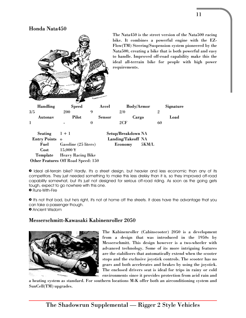#### Honda Nata450



» Ideal all-terrain bike? Hardly. It's a street design, but heavier and less economic than any of its competitors. They just needed something to make this less drekky than it is, so they improved off-road capability somewhat, but it's just not designed for serious off-road riding. As soon as the going gets tough, expect to go nowhere with this one. » Runs-With-Fire

» It's not that bad, but he's right, it's not at home off the streets. It does have the advantage that you

can take a passenger though.

» Ancient Wisdom

# Messerschmitt-Kawasaki Kabinenroller 2050



The Kabinenroller (Cabinscooter) 2050 is a development from a design that was introduced in the 1950s by Messerschmitt. This design however is a two-wheeler with advanced technology. Some of its more intriguing features are the stabilisers that automatically extend when the scooter stops and the exclusive joystick controls. The scooter has no gears and both accelerates and brakes by using the joystick. The enclosed drivers seat is ideal for trips in rainy or cold environments since it provides protection from acid rain and

a heating system as standard. For southern locations M-K offer both an airconditioning system and SunCell(TM) upgrades.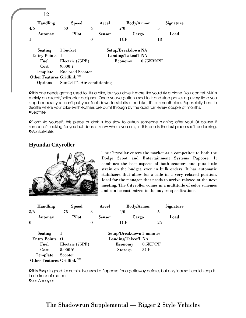| 12                                    |                            |             |               |                    |                   |    |           |
|---------------------------------------|----------------------------|-------------|---------------|--------------------|-------------------|----|-----------|
| <b>Handling</b>                       | <b>Speed</b>               |             | Accel         |                    | <b>Body/Armor</b> |    | Signature |
| 4/6                                   | 60                         | 4           |               | 2/0                |                   | 5  |           |
| Autonav                               | Pilot                      |             | <b>Sensor</b> |                    | Cargo             |    | Load      |
|                                       |                            | $\mathbf 0$ |               | 1CF                |                   | 18 |           |
| <b>Seating</b>                        | 1 bucket                   |             |               | Setup/Breakdown NA |                   |    |           |
| <b>Entry Points</b> 1                 |                            |             |               | Landing/Takeoff NA |                   |    |           |
| Fuel                                  | Electric (75PF)            |             |               | Economy            | 0.75KM/PF         |    |           |
| Cost                                  | $9,000 \frac{1}{3}$        |             |               |                    |                   |    |           |
| Template                              | <b>Enclosed Scooter</b>    |             |               |                    |                   |    |           |
| Other Features Gridlink <sup>TM</sup> |                            |             |               |                    |                   |    |           |
| <b>Options</b>                        | SunCell™, Air-conditioning |             |               |                    |                   |    |           |

»This one needs getting used to. It's a bike, but you drive it more like you'd fly a plane. You can tell M-K is mainly an aircraft/helicopter designer. Once you've gotten used to it and stop panicking every time you stop because you can't put your foot down to stabilise the bike, it's a smooth ride. Espescially here in Seattle where your bike-synthleathers are burnt through by the acid rain every couple of months. **OSeattlite** 

»Don't kid yourself, this piece of drek is too slow to outrun someone *running* after you! Of course if someone's looking for you but doesn't know where you are, in this one is the last place she'll be looking. *O*VectorMatrix

# **Hyundai Cityroller**



The Cityroller enters the market as a competitor to both the Dodge Scoot and Entertainment Systems Papoose. It combines the best aspects of both scooters and puts little strain on the budget, even in bulk orders. It has automatic stabilizers that allow for a ride in a very relaxed position. Ideal for the manager that needs to arrive relaxed at the next meeting. The Cityroller comes in a multitude of color schemes and can be customized to the buyers specifications.

| <b>Handling</b>                       | <b>Speed</b>                      |          | Accel         | <b>Body/Armor</b>         |          | Signature |
|---------------------------------------|-----------------------------------|----------|---------------|---------------------------|----------|-----------|
| 3/6                                   | 75                                | 3        |               | 2/0                       | 5        |           |
| Autonav                               | Pilot                             |          | <b>Sensor</b> | Cargo                     |          | Load      |
| $\mathbf 0$                           |                                   | $\bf{0}$ |               | 1CF                       | 25       |           |
| <b>Seating</b>                        |                                   |          |               | Setup/Breakdown 3 minutes |          |           |
| Entry Points O                        |                                   |          |               | Landing/Takeoff NA        |          |           |
| Fuel                                  | Electric (75PF)                   |          |               | Economy                   | 0.5KF/PF |           |
| Cost                                  | $5,000 \frac{\text{Y}}{\text{F}}$ |          |               | Storage                   | 3CF      |           |
| Template                              | Scooter                           |          |               |                           |          |           |
| Other Features Gridlink <sup>TM</sup> |                                   |          |               |                           |          |           |

»This *thing* is good fer nuthin. I've used a Papoose fer a gettaway before, but only 'cause I could keep it in de trunk of ma car. »Los Annoyios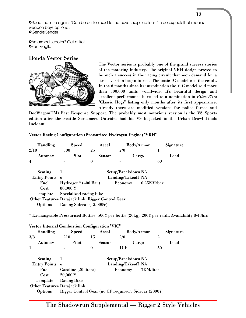»Read the intro again: "Can be customised to the buyers sepifications." In corpspeak that means weapon bays optional. **O**GenderBender

**•An armed scooter? Get a life! OSan Fragile** 

#### Honda Vector Series



The Vector series is probably one of the grand success stories of the motoring industry. The original VRH design proved to be such a success in the racing circuit that soon demand for a street version began to rise. The basic IC model was the result. In the 6 months since its introduction the VIC model sold more than 500.000 units worldwide. It's beautiful design and excellent performance have led to a nomination in *Bikes'R'Us* "Classic Hogs" listing only months after its first appearance. Already there are modified versions for police forces and

DocWagon(TM) Fast Response Support. The probably most notorious version is the VS Sports edition after the Seattle Screamers' Outrider had his VS hi-jacked in the Urban Brawl Finals Incident.

Vector Racing Configuration (Pressurised Hydrogen Engine) "VRH"

| <b>Handling</b>     | <b>Speed</b>                                      | Accel            |                    | <b>Body/Armor</b> | Signature |  |
|---------------------|---------------------------------------------------|------------------|--------------------|-------------------|-----------|--|
| 2/10                | 300                                               | 25               | 2/0                |                   |           |  |
| Autonav             | Pilot                                             | <b>Sensor</b>    |                    | Cargo             | Load      |  |
| $\overline{4}$      |                                                   | $\boldsymbol{0}$ |                    |                   | 60        |  |
|                     |                                                   |                  |                    |                   |           |  |
| <b>Seating</b>      | ı                                                 |                  | Setup/Breakdown NA |                   |           |  |
| <b>Entry Points</b> | $\Omega$                                          |                  | Landing/Takeoff NA |                   |           |  |
| Fuel                | Hydrogen* (400 Bar)                               |                  | Economy            | $0.25$ KM/bar     |           |  |
| Cost                | $80,000 \frac{1}{3}$                              |                  |                    |                   |           |  |
| Template            | Specialized racing bike                           |                  |                    |                   |           |  |
|                     | Other Features Datajack link, Rigger Control Gear |                  |                    |                   |           |  |
| <b>Options</b>      | Racing Sidecar (12,000¥)                          |                  |                    |                   |           |  |

\* Exchangeable Pressurised Bottles: 500¥ per bottle (20kg), 200¥ per refill, Availability 8/48hrs

| <b>Vector Internal Combustion Configuration "VIC"</b> |                                                       |          |               |                    |           |                |           |
|-------------------------------------------------------|-------------------------------------------------------|----------|---------------|--------------------|-----------|----------------|-----------|
| <b>Handling</b>                                       | <b>Speed</b>                                          |          | Accel         | <b>Body/Armor</b>  |           |                | Signature |
| 3/8                                                   | 210                                                   | 15       |               | 2/0                |           | $\overline{2}$ |           |
| <b>Autonav</b>                                        | Pilot                                                 |          | <b>Sensor</b> | Cargo              |           |                | Load      |
| 1                                                     |                                                       | $\bf{0}$ |               | 1CF                |           | 50             |           |
| Seating                                               | 1                                                     |          |               | Setup/Breakdown NA |           |                |           |
| <b>Entry Points</b>                                   | $\Omega$                                              |          |               | Landing/Takeoff NA |           |                |           |
| Fuel                                                  | Gasoline (20 liters)                                  |          |               | Economy            | 7KM/liter |                |           |
| Cost                                                  | $20,000 \frac{1}{3}$                                  |          |               |                    |           |                |           |
| Template                                              | <b>Racing Bike</b>                                    |          |               |                    |           |                |           |
| Other Features Datajack link                          |                                                       |          |               |                    |           |                |           |
| <b>Options</b>                                        | Rigger Control Gear (no CF required), Sidecar (2000¥) |          |               |                    |           |                |           |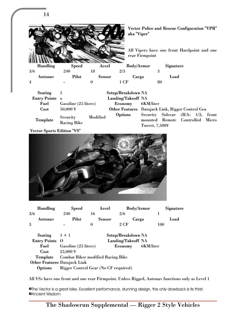

#### Vector Sports Edition "VS"



|     | <b>Handling</b> | <b>Speed</b> | Accel  | <b>Body/Armor</b> | Signature |
|-----|-----------------|--------------|--------|-------------------|-----------|
| 3/6 |                 | 240          |        | 2/6               |           |
|     | Autonav         | Pilot        | Sensor | Cargo             | Load      |
| 3   |                 |              |        | 2 CF              | 00        |

| Seating $1 + 1$                     |                                                     | Setup/Breakdown NA       |  |
|-------------------------------------|-----------------------------------------------------|--------------------------|--|
| <b>Entry Points</b> O               |                                                     | Landing/Takeoff NA       |  |
|                                     | Fuel Gasoline (25 liters)                           | <b>Economy</b> 6KM/liter |  |
| $Cost$ 25,000 $\overline{Y}$        |                                                     |                          |  |
|                                     | Template Combat Biker modified Racing Bike          |                          |  |
| <b>Other Features Datajack Link</b> |                                                     |                          |  |
|                                     | <b>Options</b> Rigger Control Gear (No CF required) |                          |  |

All VSs have one front and one rear Firmpoint. Unless Rigged, Autonav functions only as Level 1

»The Vector is a great bike. Excellent performance, stunning design, the only drawback is its thirst. **•Ancient Wisdom**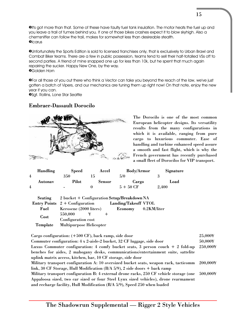**O**It's got more than that. Some of these have faulty fuel tank insulation. The motor heats the fuel up and you leave a trail of fumes behind you. If one of those bikes crashes expect it to blow skyhigh. Also a chemsniffer can follow the trail, makes for somewhat less than desireable stealth. **O**Icarus

»Unfortunately the Sports Edition is sold to licensed franchises only, that is exclusively to Urban Brawl and Combat Biker teams. There are a few in public possession, teams tend to sell their half-totalled VSs off to second parties. A friend of mine snapped one up for less than 10k, but he spent that much again repairing the sucker. Happy New One, by the way. »Golden Horn

»For all those of you out there who think a Vector can take you beyond the reach of the law, we've just gotten a batch of Vipers, and our mechanics are tuning them up right now! On that note, enjoy the new year if you can.

»Sgt. Rollins, Lone Star Seattle

#### Embraer-Dassault Dorocilo



The Dorocilo is one of the most common European helicopter designs. Its versatility results from the many configurations in which it is available, ranging from pure cargo to luxurious commuter. Ease of handling and turbine enhanced speed assure a smooth and fast flight, which is why the French government has recently purchased a small fleet of Dorocilos for VIP transport.

|   | Handling | Speed                    | Accel  | <b>Body/Armor</b>   | Signature |
|---|----------|--------------------------|--------|---------------------|-----------|
| 4 |          | 350                      |        | 5/0                 |           |
|   | Autonav  | Pilot                    | Sensor | Cargo               | Load      |
| 4 |          | $\overline{\phantom{0}}$ |        | $5 + 50 \text{ CF}$ | 2.400     |

| Seating  | 2 bucket + Configuration Setup/Breakdown NA |                      |  |  |  |  |
|----------|---------------------------------------------|----------------------|--|--|--|--|
|          | <b>Entry Points</b> $2 +$ Configuration     | Landing/Takeoff VTOL |  |  |  |  |
| Fuel     | Kerosene (2000 liters)                      | Economy 0.2KM/liter  |  |  |  |  |
| Cost     | 550,000<br>¥                                |                      |  |  |  |  |
|          | Configuration cost                          |                      |  |  |  |  |
| Template | <b>Multipurpose Helicopter</b>              |                      |  |  |  |  |

| Cargo configuration: $(+500 \text{ CF})$ , back ramp, side door                                | 25,000¥  |
|------------------------------------------------------------------------------------------------|----------|
| Commuter configuration: 4 x 2-aisle-2 bucket, 32 CF luggage, side door                         | 50,000¥  |
| Luxus Commuter configuration: 4 comfy bucket seats, 3 person couch + 2 fold-up                 | 250,000¥ |
| benches for aides, 2 mahogany desks, communications/entertainment suite, sattelite             |          |
| uplink matrix access, kitchen, bar, 10 CF storage, side door                                   |          |
| Military transport configuration A: 10 oversized bucket seats, weapon rack, tacticomm 200,000¥ |          |
| link, 30 CF Storage, Hull Modification $(B/A 5/9)$ , 2 side doors + back ramp                  |          |
| Military transport configuration B: 4 external drone racks, 250 CF vehicle storage (one        | 500,000¥ |
| Appaloosa sized, two car sized or four Steel Lynx sized vehicles), drone rearmament            |          |
| and recharge facility, Hull Modification (B/A 5/9), Speed 250 when loaded                      |          |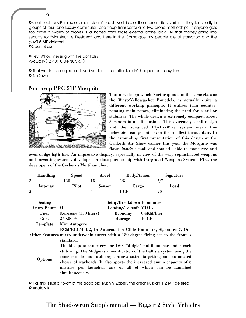»Small fleet for VIP transport, mon dieu! At least two thirds of them are military variants. They tend to fly in groups of four, one Luxury commuter, one troup transporter and two drone-motherships. If anyone gets too close a swarm of drones is launched from those external drone racks. All that money going into security for "Monsieur Le President" and here in the Camargue my people die of starvation and the gov**0.5 MP deleted**

»Count Brass

»Hey! Who's messing with the controls? -SysOp IV(12:40:10/04-NOV-51)

» That was in the original archived version -- that attack didn't happen on this system » NuDawn

#### Northrup PRC-51F Mosquito



This new design which Northrop puts in the same class as the Wasp/Yellowjacket F-models, is actually quite a different working principle. It utilises twin counterrotating main rotors, eliminating the need for a tail or stabiliser. The whole design is extremely compact, about 3 meters in all dimensions. This extremely small design and the advanced Fly-By-Wire system mean this helicopter can go into even the smallest throughfair. In the astounding first presentation of this design at the Oshkosh Air Show earlier this year the Mosquito was flown *inside* a mall and was still able to maneuvre and

even dodge ligth fire. An impressive display, espescially in view of the very sophisticated weapons and targetting systems, developed in close partnership with Integrated Weapons Systems PLC, the developers of the Cerberus Multilauncher.

| <b>Handling</b>       | <b>Speed</b>                                                                                                                                                        | Accel          | <b>Body/Armor</b>          | Signature                                                                                                                                                                                                                                                                                                                                                 |  |  |  |  |
|-----------------------|---------------------------------------------------------------------------------------------------------------------------------------------------------------------|----------------|----------------------------|-----------------------------------------------------------------------------------------------------------------------------------------------------------------------------------------------------------------------------------------------------------------------------------------------------------------------------------------------------------|--|--|--|--|
| $\overline{2}$        | 120                                                                                                                                                                 | 18             | 2/3                        | 5/7                                                                                                                                                                                                                                                                                                                                                       |  |  |  |  |
| Autonav               | Pilot                                                                                                                                                               | <b>Sensor</b>  | Cargo                      | Load                                                                                                                                                                                                                                                                                                                                                      |  |  |  |  |
| $\rm _2$              |                                                                                                                                                                     | $\overline{4}$ | $1$ CF                     | 20                                                                                                                                                                                                                                                                                                                                                        |  |  |  |  |
| <b>Seating</b>        | 1                                                                                                                                                                   |                | Setup/Breakdown 10 minutes |                                                                                                                                                                                                                                                                                                                                                           |  |  |  |  |
| <b>Entry Points</b> O |                                                                                                                                                                     |                | Landing/Takeoff VTOL       |                                                                                                                                                                                                                                                                                                                                                           |  |  |  |  |
| Fuel                  | Kerosene (150 liters)                                                                                                                                               |                | Economy                    | 0.4KM/liter                                                                                                                                                                                                                                                                                                                                               |  |  |  |  |
| Cost                  | 250,000¥                                                                                                                                                            |                | Storage                    | <b>10 CF</b>                                                                                                                                                                                                                                                                                                                                              |  |  |  |  |
| Template              | Mini Autogyro                                                                                                                                                       |                |                            |                                                                                                                                                                                                                                                                                                                                                           |  |  |  |  |
|                       | ECM/ECCM 1/2, In Autorotation Glide Ratio 1:3, Signature 7. One<br>Other Features micro under-chin turret with a 180 degree firing arc to the front is<br>standard. |                |                            |                                                                                                                                                                                                                                                                                                                                                           |  |  |  |  |
| Options               | simultaneously.                                                                                                                                                     |                |                            | The Mosquito can carry one IWS "Midgie" multilauncher under each<br>stub wing. The Midgie is a modification of the Ballista system using the<br>same missiles but utilising sensor-assisted targetting and automated<br>choice of warheads. It also sports the increased ammo capacity of 6<br>missiles per launcher, any or all of which can be launched |  |  |  |  |

» Ha, this is just a rip-off of the good old Ilyushin "Zobel", the great Russian **1.2 MP deleted** » Anatoly K

16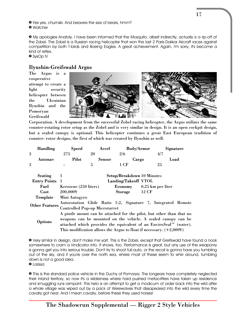» Yes yes, chumski. And beavers the size of bears, hmm? » Watcher

» My apologies Anatoly. I have been informed that the Mosquito, albeit indirectly, actually *is* a rip-off of the Zobel. The Zobel is a Russian racing helicopter that won the last 2 Paris-Dakkar Aircraft races against competition by both T-birds and Boeing Eagles. A great achievement. Again, I'm sorry, it's become a kind of reflex.

» SysOp IV

# Ilyushin-Greifswald Argus

The Argus is a cooperative attempt to create a light security helicopter between the Ukrainian Ilyushin and the Pomoryan Greifswald



Corporation. A development from the successful Zobel racing helicopter, the Argus utilizes the same counter-rotating rotor setup as the Zobel and is very similar in design. It is an open cockpit design, but a sealed canopy is optional. This helicopter continues a great East European tradition of counter- rotor designs, the first of which was created by Ilyushin as well.

|   | <b>Handling</b> | Speed | Accel  | <b>Body/Armor</b> | Signature |
|---|-----------------|-------|--------|-------------------|-----------|
| 3 |                 |       |        | 2/6               |           |
|   | Autonav         | Pilot | Sensor | Cargo             | Load      |
| 3 |                 | -     |        | - C.E             |           |

| <b>Seating</b>        | -1                                                                   | Setup/Breakdown 10 Minutes |                   |  |  |  |  |  |
|-----------------------|----------------------------------------------------------------------|----------------------------|-------------------|--|--|--|--|--|
| <b>Entry Points</b> 1 |                                                                      | Landing/Takeoff VTOL       |                   |  |  |  |  |  |
| Fuel                  | Kerosene (250 liters)                                                | Economy                    | 0.25 km per liter |  |  |  |  |  |
| Cost                  | 200,000¥                                                             | Storage                    | 12 CF             |  |  |  |  |  |
| Template              | Mini Autogyro                                                        |                            |                   |  |  |  |  |  |
| <b>Other Features</b> | Autorotation Glide Ratio 1:2, Signature 7, Integrated Remote         |                            |                   |  |  |  |  |  |
|                       | <b>Controlled Pop-up Microturret</b>                                 |                            |                   |  |  |  |  |  |
|                       | A pintle mount can be attached for the pilot, but other than that no |                            |                   |  |  |  |  |  |
|                       | weapons can be mounted on the vehicle. A sealed canopy can be        |                            |                   |  |  |  |  |  |
| Options               | attached which provides the equivalent of an EnviroSeal™ (water).    |                            |                   |  |  |  |  |  |
|                       | This modification allows the Argus to float if necessary. $(+2,000)$ |                            |                   |  |  |  |  |  |

» Very similar in design, don't make me yarf. This *is* the Zobel, except that Greifswald have found a nook somewhere to cram a Vindicator into. It shows, too. Performance is great, but any use of the weaponry is gonna get you into serious trouble. Don't try to shoot full-auto, or the recoil is gonna have you tumbling out of the sky, and if you're over the north sea, where most of these seem to whirr around, tumbling down is *not* a good idea.

» Larissa

» This is the standard police vehicle in the Duchy of Pomorya. The longears have completely neglected their inland territory, so now it's a wilderness where hard pushed metacritters have taken up residence and smuggling runs rampant. This helo is an attempt to get a modicum of order back into the wild after a whole village was wiped out by a pack of Werewolves that dissapeared into the wild every time the cavalry got near. And I mean cavalry, before these they used horses!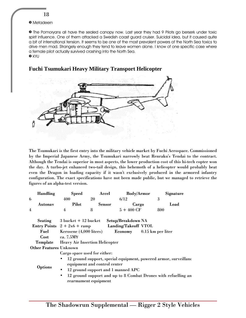18

#### » Metadeern

» The Pomoryans all have the sealed canopy now. Last year they had 9 Pilots go berserk under toxic spirit influence. One of them attacked a Swedish coast guard cruiser. Suicidal idea, but it caused quite a bit of international tension. It seems to be one of the most prevalent powers of the North Sea toxics to drive men mad. Strangely enough they tend to leave women alone. I know of one specific case where a female pilot actually survived crashing into the North Sea.

» KYU



#### **Fuchi Tsumukari Heavy Military Transport Helicopter**

The Tsumukari is the first entry into the military vehicle market by Fuchi Aerospace. Commissioned by the Imperial Japanese Army, the Tsumukari narrowly beat Renraku's Tendai to the contract. Although the Tendai is superior in most aspects, the lower production cost of this hi-tech copter won the day. A turbo-jet enhanced two-tail design, this behemoth of a helicopter would probably beat even the Dragon in loading capacity if it wasn't exclusively produced in the armored infantry configuration. The exact specifications have not been made public, but we managed to retrieve the figures of an alpha-test version.

| <b>Handling</b>               | <b>Speed</b>                                                          | Accel                | <b>Body/Armor</b>           | Signature                                                      |  |  |  |  |
|-------------------------------|-----------------------------------------------------------------------|----------------------|-----------------------------|----------------------------------------------------------------|--|--|--|--|
| 6                             | 400                                                                   | 20                   | 6/12                        | 3                                                              |  |  |  |  |
| Autonav                       | Pilot                                                                 | <b>Sensor</b>        | Cargo                       | Load                                                           |  |  |  |  |
| $\overline{4}$                | 4                                                                     | 8                    | $5 + 400 \text{ CF}$        | 800                                                            |  |  |  |  |
|                               | Seating $3 \text{ bucket} + 12 \text{ bucket}$                        |                      | Setup/Breakdown NA          |                                                                |  |  |  |  |
|                               | Entry Points $2 + 2x6 + ramp$                                         |                      | <b>Landing/Takeoff VTOL</b> |                                                                |  |  |  |  |
|                               | <b>Fuel</b> Kerosene (4,000 liters)                                   |                      |                             | Economy 0.15 km per liter                                      |  |  |  |  |
| Cost                          | ca. 7.5M¥                                                             |                      |                             |                                                                |  |  |  |  |
| Template                      | <b>Heavy Air Insertion Helicopter</b>                                 |                      |                             |                                                                |  |  |  |  |
| <b>Other Features Unknown</b> |                                                                       |                      |                             |                                                                |  |  |  |  |
|                               | Cargo space used for either:                                          |                      |                             |                                                                |  |  |  |  |
|                               | 12 ground support, special equipment, powered armor, surveillanc<br>٠ |                      |                             |                                                                |  |  |  |  |
|                               | equipment and control center                                          |                      |                             |                                                                |  |  |  |  |
| Options                       | 12 ground support and 1 manned APC<br>$\bullet$                       |                      |                             |                                                                |  |  |  |  |
|                               | $\bullet$                                                             |                      |                             | 12 ground support and up to 8 Combat Drones with refuelling an |  |  |  |  |
|                               |                                                                       | rearmament equipment |                             |                                                                |  |  |  |  |
|                               |                                                                       |                      |                             |                                                                |  |  |  |  |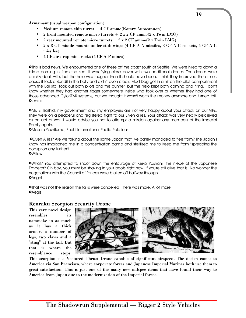Armament (usual weapon configuration):

- Medium remote chin turret  $+4$  CF ammo(Rotary Autocannon)
- 2 front mounted remote micro turrets  $+ 2 \times 2$  CF ammo(2 x Twin LMG)
- 2 rear mounted remote micro turrets  $+ 2 \times 2$  CF ammo(2 x Twin LMG)
- 2 x 8 CF missile mounts under stub wings (4 CF A-A missiles, 8 CF A-G rockets, 4 CF A-G missiles)
- 4 CF air-drop mine racks (4 CF A-P mines)

»This is bad news. We encountered one of these off the coast south of Seattle. We were hired to down a blimp coming in from the sea. It was flying close cover with two additional drones. The drones were quickly dealt with, but the helo was tougher than it should have been. I think they improved the armor, cause it took a Bandit in the belly and didn't even croak. Mad Dog got in a hit on the pilot-compartment with the Ballista, took out both pilots and the gunner, but the helo kept both coming and firing. I don't know whether they had another rigger somewhere inside who took over or whether they had one of those advanced Cylot(TM) systems, but we thought it wasn't worth the money anymore and turned tail. **O**Icarus

»Mr. El Rashid, my government and my employers are not very happy about your attack on our VIPs. They were on a peaceful and registered flight to our Elven allies. Your attack was very nearly perceived as an act of war. I would advise you not to attempt a mission against any members of the Imperial Family again.

»Masaru Yoshitumo, Fuchi International Public Relations

 »Elven Allies? Are we talking about the same Japan that I've barely managed to flee from? The Japan I know has imprisoned me in a concentration camp and sterilized me to keep me from "spreading the corruption any further"! »Willow

»What? You attempted to shoot down the entourage of Keiko Yashani, the niece of the Japanese Emperor? Oh boy, you must be shaking in your boots right now. If you're still alive that is. No wonder the negotiations with the Council of Princes were broken off halfway through. *DAngel* 

»That was not the reason the talks were cancelled. There was more. A lot more.  $\Theta$ Aegis

#### Renraku Scorpion Security Drone

This very novel design resembles namesake in as much as it has a thick armor, a number of legs, two claws and a "sting" at the tail. But that is where the resemblance stops.



This scorpion is a Vectored Thrust Drone capable of significant airspeed. The design comes to America via San Francisco, where corporate forces and Japanese Imperial Marines both use them to great satisfaction. This is just one of the many new milspec items that have found their way to America from Japan due to the modernization of the Imperial forces.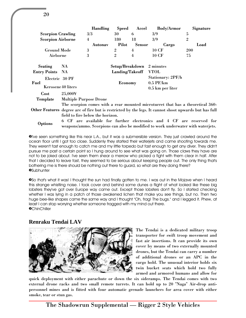|                          |                                                                                 | <b>Handling</b>                  | <b>Speed</b>    | Accel          | <b>Body/Armor</b>                                                                                     | Signature      |  |  |  |
|--------------------------|---------------------------------------------------------------------------------|----------------------------------|-----------------|----------------|-------------------------------------------------------------------------------------------------------|----------------|--|--|--|
| <b>Scorpion Crawling</b> |                                                                                 | 3/3                              | 30              | 6              | 3/9                                                                                                   | 5              |  |  |  |
| <b>Scorpion Airborne</b> |                                                                                 | 4                                | 180             | 18             | 3/9                                                                                                   | $\overline{2}$ |  |  |  |
|                          |                                                                                 | Autonav                          | <b>Pilot</b>    | <b>Sensor</b>  | Cargo                                                                                                 | Load           |  |  |  |
| <b>Ground Mode</b>       |                                                                                 | 3                                | $\overline{2}$  | $\overline{4}$ | <b>10 CF</b>                                                                                          | <b>200</b>     |  |  |  |
| Airborne                 |                                                                                 | 3                                | $\overline{2}$  | $\overline{4}$ | <b>10 CF</b>                                                                                          | 75             |  |  |  |
| Seating                  | NA.                                                                             |                                  | Setup/Breakdown |                | 2 minutes                                                                                             |                |  |  |  |
| <b>Entry Points</b> NA   |                                                                                 | Landing/Takeoff                  |                 |                | <b>VTOL</b>                                                                                           |                |  |  |  |
| Electric 30 PF           |                                                                                 |                                  |                 |                | Stationary: 2PF/h                                                                                     |                |  |  |  |
| Fuel                     |                                                                                 |                                  | Economy         |                | $0.5$ PF/km                                                                                           |                |  |  |  |
| Kerosene 40 liters       |                                                                                 |                                  |                 |                | 0.5 km per liter                                                                                      |                |  |  |  |
| Cost                     | 25,000¥                                                                         |                                  |                 |                |                                                                                                       |                |  |  |  |
| Template                 | <b>Multiple Purpose Drone</b>                                                   |                                  |                 |                |                                                                                                       |                |  |  |  |
|                          |                                                                                 |                                  |                 |                | The scorpion comes with a rear mounted microturret that has a theoretical 360-                        |                |  |  |  |
|                          |                                                                                 |                                  |                 |                | Other Features degree arc of fire but is restricted by the legs. It cannot shoot upwards but has full |                |  |  |  |
|                          |                                                                                 | field to fire below the horizon. |                 |                |                                                                                                       |                |  |  |  |
|                          | 6.                                                                              |                                  |                 |                | CF are available for further electronics and 4 CF are reserved for                                    |                |  |  |  |
| Options                  | weapons/ammo. Scorpions can also be modified to work underwater with waterjets. |                                  |                 |                |                                                                                                       |                |  |  |  |

»I've seen something like this near L.A., but it was a submersible version. They just crawled around the ocean floor until I got too close. Suddenly they started their waterjets and came shooting towards me. They weren't fast enough to catch me and my little torpedo but fast enough to get any diver. They didn't pursue me past a certain point so I hung around to see what was going on. Those claws they have are not to be joked about. I've seen them shear a merrow who picked a fight with them clear in half. After that I decided to leave fast, they seemed to be serious about keeping people out. The only thing that's bothering me is there should be nothing out there to guard, so what are they doing there? **OSubhunter** 

»So *that's* what it was! I thought the sun had finally gotten to me. I was out in the Mojave when I heard this strange whistling noise. I took cover and behind some dunes a flight of what looked like these big lobsters they've got over Europe way came out. Except those lobsters don't fly. So I started checking whether I was lying in a patch of those awakened lichen that make you see things, but no. Then two huge bee-like shapes came the same way and I thought "Oh, frag! The bugs." and I legged it. Phew, at least I can stop worrying whether someone fragged with my mind out there. **OChinChiller** 

#### **Renraku Tendai LAV**



The Tendai is a dedicated military troop transporter for swift troop movement and fast air insertions. It can provide its own cover by means of two externally mounted drones, but the Tendai can carry a number of additional drones or an APC in the cargo hold. The unusual interior holds six twin bucket seats which hold two fully armed and armored humans and allow for

quick deployment with either parachute or down the six sideramps. The Tendai comes with two external drone racks and two small remote turrets. It can hold up to 20 "Naga" Air-drop antipersonnel mines and is fitted with four automatic grenade launchers for area cover with either smoke, tear or stun gas.

The Shadowrun Supplemental — Rigger 2 Style Vehicles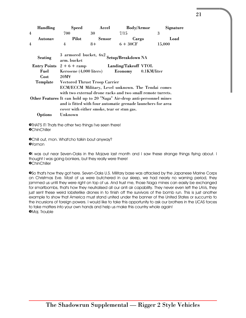| <b>Handling</b> | <b>Speed</b>                | Accel                                      | <b>Body/Armor</b>                                                        | Signature   |
|-----------------|-----------------------------|--------------------------------------------|--------------------------------------------------------------------------|-------------|
| $\overline{4}$  | 700                         | 30                                         | 7/15                                                                     | 3           |
| Autonav         | Pilot                       | <b>Sensor</b>                              | Cargo                                                                    | Load        |
| $\overline{4}$  | $\overline{4}$              | $8+$                                       | $6+30CF$                                                                 | 15,000      |
| Seating         | arm. bucket                 |                                            | 3 armored bucket, $6x^2$ Setup/Breakdown NA                              |             |
|                 | Entry Points $2 + 6 +$ ramp |                                            | Landing/Takeoff VTOL                                                     |             |
| Fuel            | Kerosene (4,000 liters)     |                                            | Economy                                                                  | 0.1KM/liter |
| Cost            | 20M <sub>F</sub>            |                                            |                                                                          |             |
| Template        |                             | <b>Vectored Thrust Troop Carrier</b>       |                                                                          |             |
|                 |                             |                                            | ECM/ECCM Military, Level unknown. The Tendai comes                       |             |
|                 |                             |                                            | with two external drone racks and two small remote turrets.              |             |
|                 |                             |                                            | Other Features It can hold up to 20 "Naga" Air-drop anti-personnel mines |             |
|                 |                             |                                            | and is fitted with four automatic grenade launchers for area             |             |
|                 |                             | cover with either smoke, tear or stun gas. |                                                                          |             |
| <b>Options</b>  | Unknown                     |                                            |                                                                          |             |

»THAT'S IT! Thats the other two things I've seen there! **OChinChiller** 

»Chill out, mon. What'cho talkin bout anyway? »Yomon

»I was out near Seven-Oaks in the Mojave last month and I saw these strange things flying about. I thought I was going bonkers, but they really were there! **OChinChiller** 

»So that's how they got here. Seven-Oaks U.S. Military base was attacked by the Japanese Marine Corps on Christmas Eve. Most of us were butchered in our sleep, we had nearly no warning period, they jammed us until they were right on top of us. And trust me, those Naga mines can easily be exchanged for smartbombs, that's how they neutralised all our anti air capability. They never even left the LAVs, they just sent these weird lobsterlike drones in to finish off the survivors of the bomb run. This is just another example to show that America must stand united under the banner of the United States or succumb to the incursions of foreign powers. I would like to take this opportunity to ask our brothers in the UCAS forces to take matters into your own hands and help us make this country whole again! »Maj. Trouble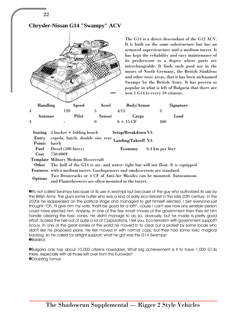

22

The G14 is a direct descendant of the G12 ACV. It is built on the same substructure but has an armored superstructure and a medium turret. It has kept the reliability and easy maintenance of its predecessor to a degree where parts are interchangeable. It finds such good use in the moors of North Germany, the British Stinkfens and other toxic areas, that it has been nicknamed Swampy by the British Army. It has proven so popular in what is left of Bulgaria that there are now 1 G14 to every 10 citizens.

|   | <b>Handling</b> | <b>Speed</b>   | Accel         | <b>Body/Armor</b> | Signature |
|---|-----------------|----------------|---------------|-------------------|-----------|
| 4 |                 | 20             |               | 4/12              |           |
|   | Autonav         | Pilot          | <b>Sensor</b> | Cargo             | Load      |
| 4 |                 | $\blacksquare$ |               | $6 + 15$ CF       | 400       |
|   |                 |                |               |                   |           |

|               | <b>Seating</b> $\,3\,$ bucket $+$ folding bench                                       | Setup/Breakdown NA |                                 |  |  |  |
|---------------|---------------------------------------------------------------------------------------|--------------------|---------------------------------|--|--|--|
| Entry         | cupola, hatch, double size rear                                                       | Landing/Takeoff NA |                                 |  |  |  |
| <b>Points</b> | hatch                                                                                 |                    |                                 |  |  |  |
|               | <b>Fuel</b> Diesel (500 liters)                                                       |                    | <b>Economy</b> 0.4 km per liter |  |  |  |
| Cost          | 750.000¥                                                                              |                    |                                 |  |  |  |
|               | <b>Template Military Medium Hovercraft</b>                                            |                    |                                 |  |  |  |
|               | Other The hull of the G14 is air- and water- tight but will not float. It is equipped |                    |                                 |  |  |  |
|               | Features with a medium turret. Gasdispensers and smokescreens are standard.           |                    |                                 |  |  |  |
| Options       | Two Droneracks or 4 CF of Anti-Air Missiles can be mounted. Autocannons               |                    |                                 |  |  |  |
|               | and Flamethrowers are often mounted in the turret.                                    |                    |                                 |  |  |  |

**O**It's not called Swampy because of its use in swamps but because of the guy who authorized its use by the British Army. The guy's some nutter who was a kind of early eco-terrorist in the late 20th century. In the 2020s he reappeared on the political stage and managed to get himself elected. I bet everyone just thought: "Oh, I'll give him my vote, that'll be good fer a laff!", cause I can't see how any sensible person could have elected him. Anyway, in one of the few smart moves of the government then they let him handle clearing the toxic zones. He didn't manage to do so, obviously, but he made a pretty good effort. Scared the hell out of quite a lot of Corporations, I tell you. Eco-terrorism with government support? Sca-ry. In one of the great ironies of the world he moved in to clear out a protest by some locals who didn't like his proposed plans. He first moved in with normal cops, but they had some toxic magical backing, so he called for airtight support; what he got was the G14 Swampy! **OBaldrick** 

»Bulgaria only has about 10,000 citizens nowadays. What big achievement is it to have 1,000 G14s there, especially with all those left over from the Eurowars? »Doubting Tomas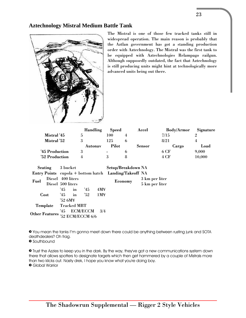### **Aztechnology Mistral Medium Battle Tank**



The Mistral is one of those few tracked tanks still in widespread operation. The main reason is probably that the Aztlan government has got a standing production order with Aztechnology. The Mistral was the first tank to be equipped with Aztechnologies Relampago railgun. Although supposedly outdated, the fact that Aztechnology is still producing units might hint at technologically more advanced units being out there.

|                | <b>Handling</b> | <b>Speed</b> | Accel         | <b>Body/Armor</b> | Signature |
|----------------|-----------------|--------------|---------------|-------------------|-----------|
| Mistral '45    |                 | 100          |               | 7/15              |           |
| Mistral '52    |                 | 125          |               | 8/21              |           |
|                | Autonav         | <b>Pilot</b> | <b>Sensor</b> | Cargo             | Load      |
| '45 Production |                 | $\sim$       |               | 6 CF              | 9,000     |
| '52 Production |                 |              |               | 4 CF              | 10,000    |

|                       | Seating 3 bucket  |              |       |                  |     | Setup/Breakdown NA                                    |                |
|-----------------------|-------------------|--------------|-------|------------------|-----|-------------------------------------------------------|----------------|
|                       |                   |              |       |                  |     | Entry Points cupola + bottom hatch Landing/Takeoff NA |                |
| Fuel                  | Diesel 400 liters |              |       |                  |     |                                                       | 3 km per liter |
|                       | Diesel 500 liters |              |       |                  |     | <b>Economy</b>                                        | 5 km per liter |
|                       |                   | $45^{\circ}$ | $\ln$ | 45               | 4M¥ |                                                       |                |
|                       | Cost              | $'45$ in     |       |                  | 1MY |                                                       |                |
|                       |                   | '52 6M¥      |       |                  |     |                                                       |                |
| Template              |                   | Tracked MBT  |       |                  |     |                                                       |                |
|                       |                   |              |       | '45 ECM/ECCM     | 3/4 |                                                       |                |
| <b>Other Features</b> |                   |              |       | '52 ECM/ECCM 6/6 |     |                                                       |                |

» You mean the tanks I''m gonna meet down there could be anything between rusting junk and SOTA deathdealers? Oh frag.

» Southbound

» Trust the Azzies to keep you in the dark. By the way, they've got a new communications system down there that allows spotters to designate targets which then get hammered by a couple of Mistrals more than two klicks out. Nasty drek, I hope you know what you're doing boy. » Global Warrior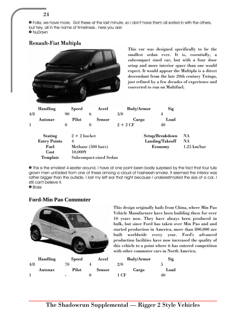» Folks, we have more. Got these at the last minute, so I don't have them all sorted in with the others, but hey, all in the name of timeliness.. here you are! » NuDawn

# Renault-Fiat Multipla

|          |                     |                  |                    |          | This car was designed specifically to be the<br>smallest sedan ever. It is, essentially, a<br>subcompact sized car, but with a four door<br>setup and more interior space than one would<br>expect. It would appear the Multipla is a direct<br>descendant from the late 20th century Twingo,<br>just refined by a few decades of experience and<br>converted to run on Multifuel. |     |                   |  |                 |               |
|----------|---------------------|------------------|--------------------|----------|------------------------------------------------------------------------------------------------------------------------------------------------------------------------------------------------------------------------------------------------------------------------------------------------------------------------------------------------------------------------------------|-----|-------------------|--|-----------------|---------------|
|          | <b>Handling</b>     |                  | <b>Speed</b>       |          | Accel                                                                                                                                                                                                                                                                                                                                                                              |     | <b>Body/Armor</b> |  | Sig             |               |
| 4/8      |                     | 90               |                    | 6        |                                                                                                                                                                                                                                                                                                                                                                                    | 3/0 |                   |  | $\overline{4}$  |               |
|          | <b>Autonav</b>      |                  | <b>Pilot</b>       |          | <b>Sensor</b>                                                                                                                                                                                                                                                                                                                                                                      |     | Cargo             |  | Load            |               |
| $\bf{l}$ |                     | $\boldsymbol{0}$ |                    | $\bf{0}$ |                                                                                                                                                                                                                                                                                                                                                                                    |     | $2+2CF$           |  | 40              |               |
|          | <b>Seating</b>      |                  | $2 + 2$ bucket     |          |                                                                                                                                                                                                                                                                                                                                                                                    |     | Setup/Breakdown   |  |                 | <b>NA</b>     |
|          | <b>Entry Points</b> |                  | $\overline{4}$     |          |                                                                                                                                                                                                                                                                                                                                                                                    |     |                   |  | Landing/Takeoff | <b>NA</b>     |
|          | Fuel                |                  | Methane (500 bars) |          |                                                                                                                                                                                                                                                                                                                                                                                    |     |                   |  | Economy         | $1.25$ km/bar |
|          | Cost                |                  | 10,000¥            |          |                                                                                                                                                                                                                                                                                                                                                                                    |     |                   |  |                 |               |
|          | Template            |                  |                    |          | <b>Subcompact-sized Sedan</b>                                                                                                                                                                                                                                                                                                                                                      |     |                   |  |                 |               |
|          |                     |                  |                    |          |                                                                                                                                                                                                                                                                                                                                                                                    |     |                   |  |                 |               |

» This is the smallest 4-seater around. I have at one point been badly surprised by the fact that four fully grown men unfolded from one of these among a cloud of hasheesh-smoke. It seemed the interior was rather bigger than the outside. I lost my left ear that night because I underestimated the size of a car. I still can't believe it.

» Brass

#### **Ford-Min Pao Commuter**



This design originally hails from China, where Min Pao Vehicle Manufacture have been building these for over 10 years now. They have always been produced in bulk, but since Ford has taken over Min Pao and and started production in America, more than 800,000 are built worldwide every year. Ford's advanced production facilities have now increased the quality of this vehicle to a point where it has entered competition with other commuter cars in North America.

| <b>Body/Armor</b> | Sig  |
|-------------------|------|
| 2/0               | 5    |
| Cargo             | Load |
| 1 CF              | 40   |

24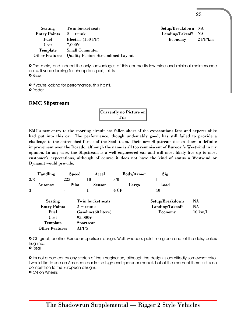| Seating             | Twin bucket seats                                 | Setup/Breakdown NA |           |
|---------------------|---------------------------------------------------|--------------------|-----------|
| <b>Entry Points</b> | $2 +$ trunk                                       | Landing/Takeoff NA |           |
| Fuel                | Electric (150 PF)                                 | Economy            | $2$ PF/km |
| Cost                | $7.000\text{Y}$                                   |                    |           |
|                     | <b>Template</b> Small Commuter                    |                    |           |
|                     | Other Features Quality Factor: Streamlined Layout |                    |           |

25

» The main, and indeed the only, advantages of this car are its low price and minimal maintenance costs. If you're looking for cheap transport, this is it. » Brass

» If you're looking for performance, this it ain't. » Radar

#### **EMC Slipstream**

Currently no Picture on File

EMC's new entry to the sporting circuit has fallen short of the expectations fans and experts alike had put into this car. The performance, though undeniably good, has still failed to provide a challenge to the entrenched forces of the Saab team. Their new Slipstream design shows a definite improvement over the Dorado, although the name is all too reminiscent of Eurocar's Westwind in my opinion. In any case, the Slipstream is a well engineered car and will most likely live up to most customer's expectations, although of course it does not have the kind of status a Westwind or Dynamit would provide.

|     | <b>Handling</b>       | <b>Speed</b>   | Accel                |      | <b>Body/Armor</b> | Sig             |                   |
|-----|-----------------------|----------------|----------------------|------|-------------------|-----------------|-------------------|
| 3/8 |                       | 225            | 10                   | 3/0  |                   |                 |                   |
|     | Autonav               | Pilot          | <b>Sensor</b>        |      | Cargo             | Load            |                   |
| 3   |                       | $\blacksquare$ |                      | 4 CF |                   | 40              |                   |
|     | <b>Seating</b>        |                | Twin bucket seats    |      |                   | Setup/Breakdown | NA.               |
|     | <b>Entry Points</b>   |                | $2 +$ trunk          |      |                   | Landing/Takeoff | <b>NA</b>         |
|     | Fuel                  |                | Gasoline (60 liters) |      |                   | Economy         | $10 \text{ km}/l$ |
|     | Cost                  |                | 95,000¥              |      |                   |                 |                   |
|     | Template              |                | Sportscar            |      |                   |                 |                   |
|     | <b>Other Features</b> |                | <b>APPS</b>          |      |                   |                 |                   |

» Oh great, another European sportscar design. Well, whopee, paint me green and let the daisy-eaters hug me...

» Real

» It's not a bad car by any stretch of the imagination, although the design is admittedly somewhat retro. I would like to see an American car in the high-end sportscar market, but at the moment there just is no competition to the European designs.

» C4 on Wheels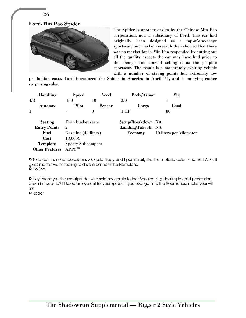

26



The Spider is another design by the Chinese Min Pao corporation, now a subsidiary of Ford. The car had originally been designed as a top-of-the-range sportscar, but market research then showed that there was no market for it. Min Pao responded by cutting out all the quality aspects the car may have had prior to the change and started selling it as the people's sportscar. The result is a moderately exciting vehicle with a number of strong points but extremely low

production costs. Ford introduced the Spider in America in April '51, and is enjoying rather surprising sales.

|              | <b>Handling</b>                   | <b>Speed</b>                                   | Accel            | <b>Body/Armor</b>  | Sig                     |
|--------------|-----------------------------------|------------------------------------------------|------------------|--------------------|-------------------------|
| 4/8          |                                   | 150                                            | 10               | 3/0                |                         |
|              | Autonav                           | Pilot                                          | <b>Sensor</b>    | Cargo              | Load                    |
| $\mathbf{I}$ |                                   |                                                | $\boldsymbol{0}$ | 1 CF               | 80                      |
|              | <b>Seating</b>                    | Twin bucket seats                              |                  | Setup/Breakdown NA |                         |
|              | <b>Entry Points</b>               | $\overline{2}$                                 |                  | Landing/Takeoff NA |                         |
|              | Fuel                              | Gasoline (40 liters)                           |                  | Economy            | 10 liters per kilometer |
|              | Cost                              | 18,000¥                                        |                  |                    |                         |
|              | Template<br><b>Other Features</b> | <b>Sporty Subcompact</b><br>APPS <sup>TM</sup> |                  |                    |                         |
|              |                                   |                                                |                  |                    |                         |

» Nice car. It's none too expensive, quite nippy and I particularly like the metallic color schemes! Also, it gives me this warm feeling to drive a car from the Homeland. » HoKing

» Hey! Aren't you the meatgrinder who sold my cousin to that Seoulpa ring dealing in child prostitution down in Tacoma? I'll keep an eye out for your Spider. If you ever get into the Redmonds, make your will first.

» Radar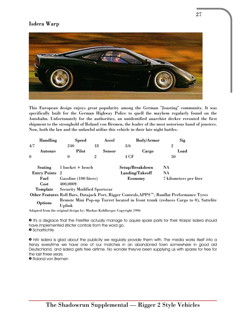# Isdera Warp



This European design enjoys great popularity among the German "Jousting" community. It was specifically built for the German Highway Police to quell the mayhem regularly found on the Autobahn. Unfortunately for the authorities, an unidentified anarchist decker rerouted the first shipment to the stronghold of Roland von Bremen, the leader of the most notorious band of jousters. Now, both the law and the unlawful utilize this vehicle in their late night battles.

| <b>Handling</b>       | <b>Speed</b>                       | Accel          | <b>Body/Armor</b> | Sig                                                                                        |
|-----------------------|------------------------------------|----------------|-------------------|--------------------------------------------------------------------------------------------|
| 4/7                   | 240                                | 18             | 3/6               | $\overline{2}$                                                                             |
| Autonav               | Pilot                              | Sensor         | Cargo             | Load                                                                                       |
| $\mathbf{0}$          | $\mathbf{0}$                       | $\overline{2}$ | 4 CF              | 50                                                                                         |
| Seating               | 1 bucket + bench                   |                | Setup/Breakdown   | NA                                                                                         |
| <b>Entry Points</b> 2 |                                    |                | Landing/Takeoff   | NA                                                                                         |
| Fuel                  | Gasoline (100 liters)              |                | Economy           | 7 kilometers per liter                                                                     |
| Cost                  | 400,000¥                           |                |                   |                                                                                            |
| Template              | <b>Security Modified Sportscar</b> |                |                   |                                                                                            |
|                       |                                    |                |                   | Other Features Roll Bars, Datajack Port, Rigger Controls, APPS™, Runflat Performance Tyres |
|                       |                                    |                |                   | Remote Mini Pop-up Turret located in front trunk (reduces Cargo to 0), Sattelite           |
|                       | Uplink                             |                |                   |                                                                                            |
| <b>Options</b>        |                                    |                |                   |                                                                                            |

Adapted from the original design by: Markus Kohlberger Copyright 1996

» It's a disgrace that the Freiritter actually manage to aquire spare parts for their Warps! Isdera should have implemented stricter controls from the word go. » Scharfrichte

» HA! Isdera is glad about the publicity we regularly provide them with. The media works itself into a frenzy everytime we have one of our matches in an abandoned town somewhere in good old Deutschland, and Isdera gets free airtime. No wonder they've been supplying us with spares for free for the last three years.

» Roland von Bremen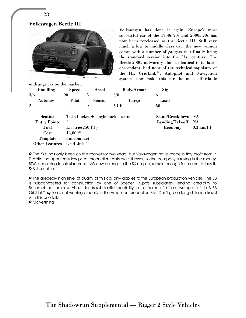

Volkswagen has done it again. Europe's most successful car of the 1950s-70s and 2000s-20s has now been rereleased as the Beetle III. Still very much a low to middle class car, the new version comes with a number of gadgets that finally bring the standard version into the 21st century. The Beetle 2000, outwardly almost identical to its latest descendant, had none of the technical sophistry of the III. GridLink™, Autopilot and Navigation systems now make this car the most affordable

midrange car on the market.

| <b>Handling</b>       | <b>Speed</b>       | Accel                               | <b>Body/Armor</b> | Sig                |                     |
|-----------------------|--------------------|-------------------------------------|-------------------|--------------------|---------------------|
| 3/6                   | 90                 | 5                                   | 3/0               | 6                  |                     |
| Autonav               | Pilot              | <b>Sensor</b>                       | Cargo             | Load               |                     |
| $\overline{2}$        | $\blacksquare$     | $\mathbf{0}$                        | 5 CF              | 50                 |                     |
| Seating               |                    | Twin bucket $+$ single bucket seats |                   | Setup/Breakdown NA |                     |
| <b>Entry Points</b>   | $\overline{2}$     |                                     |                   | Landing/Takeoff NA |                     |
| Fuel                  | $Electric(250$ PF) |                                     |                   | Economy            | $0.3 \text{ km/PF}$ |
| Cost                  | 12,000¥            |                                     |                   |                    |                     |
| Template              | Subcompact         |                                     |                   |                    |                     |
| <b>Other Features</b> | $GridLink^m$       |                                     |                   |                    |                     |

» The "B3" has only been on the market for two years, but Volkswagen have made a tidy profit from it. Despite the apparently low price, production costs are still lower, so the company is raking in the money. BTW, according to latest rumours, VW now belongs to the SK empire, reason enough for me not to buy it. » Bahnmeister

» The allegedly high level of quality of this car only applies to the European production vehicles. The B3 is subcontracted for construction by one of Saeder Krupp's subsidiaries, lending credibility to Bahnmeister's rumours. Also, it lends substantial credibility to the "rumours" of an average of 1 in 3 B3 GridLink™ systems not working properly in the American production B3s. Don't go on long distance travel with this one folks.

» MarketThing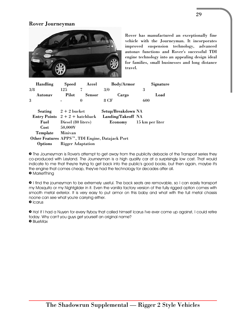# Rover Journeyman



Rover has manufactured an exceptionally fine vehicle with the Journeyman. It incorporates improved suspension technology, advanced autonav functions and Rover's successful TDI engine technology into an appealing design ideal for families, small businesses and long distance travel.

| <b>Handling</b>                  | <b>Speed</b>       | Accel                    | <b>Body/Armor</b>                               | Signature       |
|----------------------------------|--------------------|--------------------------|-------------------------------------------------|-----------------|
| 3/8                              | 125                | 7                        | 3/0                                             | 3               |
| Autonav                          | <b>Pilot</b>       | <b>Sensor</b>            | Cargo                                           | Load            |
| 3                                |                    | 0                        | 8 CF                                            | 600             |
| <b>Seating</b>                   | $2 + 2$ bucket     |                          | Setup/Breakdown NA                              |                 |
|                                  |                    |                          |                                                 |                 |
| Entry Points $2 + 2 +$ hatchback |                    |                          | Landing/Takeoff NA                              |                 |
| Fuel                             | Diesel (80 liters) |                          | Economy                                         | 15 km per liter |
| Cost                             | 50,000¥            |                          |                                                 |                 |
| Template                         | <b>Minivan</b>     |                          |                                                 |                 |
|                                  |                    |                          | Other Features APPS™, TDI Engine, Datajack Port |                 |
| <b>Options</b>                   |                    | <b>Rigger Adaptation</b> |                                                 |                 |

» The Journeyman is Rover's attempt to get away from the publicity debacle of the Transport series they co-produced with Leyland. The Journeyman is a high quality car at a surprisingly low cost. That would indicate to me that they're trying to get back into the public's good books, but then again, maybe it's the engine that comes cheap, they've had the technology for decades after all. » MarketThing

» I find the journeyman to be extremely useful. The back seats are removable, so I can easily transport my Mosquito or my Nightglider in it. Even the vanilla factory version of the fully rigged option comes with smooth metal exterior. It is very easy to put armor on this baby and what with the full metal chassis noone can see what you're carrying either.

» Icarus

» Ha! If I had a Nuyen for every flyboy that called himself Icarus I've ever come up against, I could retire today. Why can't you guys get yourself an original name? » BlueMax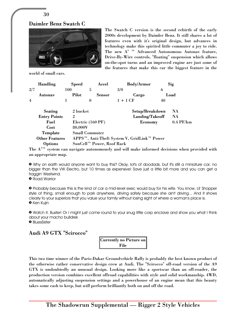30

#### Daimler Benz Swatch C



The Swatch C version is the second rebirth of the early 2000s development by Daimler Benz. It still shares a lot of features even with it's original design, but advances in technology make this spirited little commuter a joy to ride. The new  $A^{3-m}$  Advanced Autonomous Autonav feature, Drive-By-Wire controls, "floating" suspension which allows on-the-spot turns and an improved engine are just some of the features that make this car the biggest feature in the

world of small cars.

|                | <b>Handling</b>       | <b>Speed</b>   | Accel                     | <b>Body/Armor</b>                                                    |    | Sig         |
|----------------|-----------------------|----------------|---------------------------|----------------------------------------------------------------------|----|-------------|
| 2/7            |                       | 100            | 5                         | 3/0                                                                  | 6  |             |
|                | Autonav               | Pilot          | <b>Sensor</b>             | Cargo                                                                |    | Load        |
| $\overline{4}$ |                       |                | 0                         | $1+1$ CF                                                             | 40 |             |
|                | <b>Seating</b>        | 2 bucket       |                           | Setup/Breakdown                                                      |    | NA.         |
|                | <b>Entry Points</b>   | $\overline{2}$ |                           | Landing/Takeoff                                                      |    | <b>NA</b>   |
|                | Fuel                  |                | Electric (160 PF)         | Economy                                                              |    | $0.4$ PF/km |
|                | Cost                  | 80,000¥        |                           |                                                                      |    |             |
|                | Template              |                | <b>Small Commuter</b>     |                                                                      |    |             |
|                | <b>Other Features</b> |                |                           | APPS <sup>™</sup> , Anti-Theft System V, GridLink <sup>™</sup> Power |    |             |
|                | <b>Options</b>        |                | SunCell™ Power, Roof Rack |                                                                      |    |             |

The  $A^{3TM}$  system can navigate autonomously and will make informed decisions when provided with an appropriate map.

» Why on earth would anyone want to buy this? Okay, lot's of doodads, but it's still a miniature car, no bigger than the VW Electro, but 10 times as expensive! Save just a little bit more and you can get a fraggin' Westwind.

» Road Warrior

» Probably because this is the kind of car a mid-level exec would buy for his wife. You know, Lil' Shopper style of thing, small enough to park anywhere, driving safely because she ain't driving... And it shows clearly to your superiors that you value your family without losing sight of where a woman's place is. **•** Ken Kujin

» Watch it, Buster! Or I might just come round to your snug little corp enclave and show you what I think about your macho bulldrek » BluesSister

Audi A9 GTX "Scirocco"

| <b>Currently no Picture on</b> |
|--------------------------------|
| File                           |

This two time winner of the Paris-Dakar Groundvehicle Rally is probably the best known product of the otherwise rather conservative design crew at Audi. The "Scirocco" off-road version of the A9 GTX is undoubtedly an unusual design. Looking more like a sportscar than an off-roader, the production version combines excellent offroad capabilities with style and solid workmanship. 4WD, automatically adjusting suspension settings and a powerhouse of an engine mean that this beauty takes some cash to keep, but *will* perform brilliantly both on and off the road.

The Shadowrun Supplemental — Rigger 2 Style Vehicles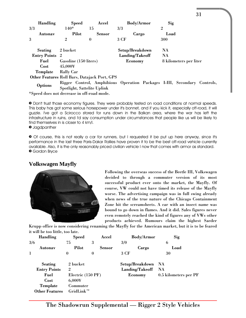| <b>Handling</b>                              | <b>Speed</b>                | Accel            | <b>Body/Armor</b> | Sig                                                                      |
|----------------------------------------------|-----------------------------|------------------|-------------------|--------------------------------------------------------------------------|
| 3/3                                          | $140*$                      | 15               | 3/3               | $\overline{2}$                                                           |
| Autonav                                      | Pilot                       | <b>Sensor</b>    | Cargo             | Load                                                                     |
| 3                                            | $\overline{2}$              | $\boldsymbol{0}$ | 3 CF              | 300                                                                      |
| Seating                                      | 2 bucket                    |                  | Setup/Breakdown   | NA                                                                       |
| <b>Entry Points</b> 2                        |                             |                  | Landing/Takeoff   | NA                                                                       |
| Fuel                                         | Gasoline (150 liters)       |                  | <b>Economy</b>    | 8 kilometers per liter                                                   |
| Cost                                         | 45,000¥                     |                  |                   |                                                                          |
| Template                                     | <b>Rally Car</b>            |                  |                   |                                                                          |
| Other Features Roll Bars, Datajack Port, GPS |                             |                  |                   |                                                                          |
| <b>Options</b>                               | Spotlight, Sattelite Uplink |                  |                   | Rigger Control, Amphibious Operation Packages I-III, Secondary Controls, |

\*Speed does not decrease in off-road mode.

» Don't trust those economy figures. They were probably tested on road conditions at normal speeds. This baby has got some serious horsepower under it's bonnet, and if you kick it, especially off-road, it will guzzle. I've got a Scirocco stored for runs down in the Balkan area, where the war has left the infrastructure in ruins, and I'd say consumption under circumstances that people like us will be likely to find themselves in is closer to 4 km/l.

» Jagdpanther

» Of course, this is not really a car for runners, but I requested it be put up here anyway, since it's performance in the last three Paris-Dakar Rallies have proven it to be the best off-road vehicle currently available. Also, it is the only reasonably priced civilian vehicle I now that comes with armor as standard. » Gordon Bryce

#### **Volkswagen Mayfly**



Following the overseas success of the Beetle III, Volkswagen decided to through a commuter version of its most successful product ever onto the market, the Mayfly. Of course, VW could not have timed its release of the Mayfly worse. The advertising campaign was in full swing already when news of the true nature of the Chicago Containment Zone hit the screamsheets. A car with an insect name was bound to go down in flames. And it did. Sales figures never even remotely reached the kind of figures any of VWs other products achieved. Rumours claim the highest Saeder

31

Krupp office is now considering renaming the Mayfly for the American market, but it is to be feared it will be too little, too late.

| <b>Handling</b>       | <b>Speed</b>        | Accel         | <b>Body/Armor</b>  | Sig                   |
|-----------------------|---------------------|---------------|--------------------|-----------------------|
| 3/6                   | 75                  | 3             | 3/0                | 6                     |
| Autonav               | Pilot               | <b>Sensor</b> | Cargo              | Load                  |
| 1                     | $\mathbf{0}$        | $\bf{0}$      | 3 CF               | 30                    |
| <b>Seating</b>        | 2 bucket            |               | Setup/Breakdown NA |                       |
| <b>Entry Points</b>   | $\overline{2}$      |               | Landing/Takeoff    | - NA                  |
| Fuel                  | Electric (150 PF)   |               | Economy            | 0.5 kilometers per PF |
| Cost                  | $6,000$ ¥           |               |                    |                       |
| Template              | Commuter            |               |                    |                       |
| <b>Other Features</b> | $GridLink^{\tau_M}$ |               |                    |                       |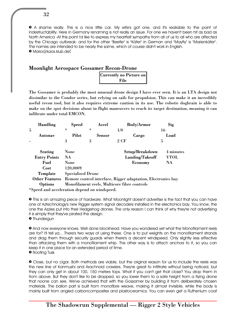» A shame really. This is a nice little car. My wife's got one, and it's realiable to the point of indestructability. Here in Germany renaming is not really an issue. For one we haven't been hit as bad as North America -At this point I'd like to express my heartfelt sympathy from all of us to all who are affected by the Chicago outbreak- and for the other "Beetle" is "Käfer" in German and "Mayfly" is "Marienkäfer". The names are intended to be nearly the same, which of course didn't work in English. » Mario@kaos.klub.de(

## Moonlight Aerospace Gossamer Recon-Drone

| <b>Currently no Picture on</b> |
|--------------------------------|
| File                           |

The Gossamer is probably the most unusual drone design I have ever seen. It is an LTA design not dissimilar to the Condor series, but relying on sails for propulsion. This can make it an incredibly useful recon tool, but it also requires extreme caution in its use. The robotic dogbrain is able to make on the spot decisions about in flight maneuvers to reach its target destination, meaning it can infiltrate under total EMCON.

| <b>Handling</b>                 | <b>Speed</b>             | Accel         | <b>Body/Armor</b>                                            | Sig       |
|---------------------------------|--------------------------|---------------|--------------------------------------------------------------|-----------|
| $\overline{5}$                  | ÷                        | $\star$       | 1/0                                                          | 16        |
| Autonav                         | Pilot                    | <b>Sensor</b> | Cargo                                                        | Load      |
|                                 | 3                        | 3             | 2 CF                                                         | 5         |
| <b>Seating</b>                  | None                     |               | Setup/Breakdown                                              | 4 minutes |
| <b>Entry Points</b>             | NA.                      |               | Landing/Takeoff                                              | VTOL      |
| Fuel                            | None                     |               | Economy                                                      | NA.       |
| Cost                            | 120,000¥                 |               |                                                              |           |
| Template                        | <b>Specialised Drone</b> |               |                                                              |           |
| <b>Other Features</b>           |                          |               | Remote control interface, Rigger adaptation, Electronics bay |           |
| <b>Options</b><br>$\sim$ $\sim$ | .                        |               | Monofilament reels, Multicore fibre controls                 |           |

\*Speed and acceleration depend on windspeed.

» This is an amazing piece of hardware. What Moonlight doesn't advertise is the fact that you can have one of Aztechnology's new Rigger system signal decoders installed in the electronics bay. You know, the one the Azzies put into their Hedgehog drones. The only reason I can think of why they're not advertising it is simply that they've pirated the design.

» Thundergun

» And now everyone knows. Well done blockhead. Have you wondered yet what the Monofilament reels are for? I'll tell ya... There's two ways of using these. One is to put weights on the monofilament strands and drag them through security guards when there's a decent windspeed. Only slightly less effective than attacking them with a monofilament whip. The other way is to attach anchors to it, so you can keep it in one place for an extended period of time. » Rooting Tusk

» Close, but no cigar. Both methods are viable, but the original reason for us to include the reels was the new line of Kanmushi and Arachnoid crawlers. They're great to infiltrate without being noticed, but they can only get in about 100, 150 meters tops. What if you can't get that close? You drop them in from above. But they don't like to be dropped, so you lower them to a safe height from a flying drone that noone can see. We've achieved that with the Gossamer by building it from deliberately chosen materials. The ballon part is built from monofibre weave, making it almost invisible, while the body is mainly built from angled carboncomposites and plastoceramics. You can even get a Ruthenium coat